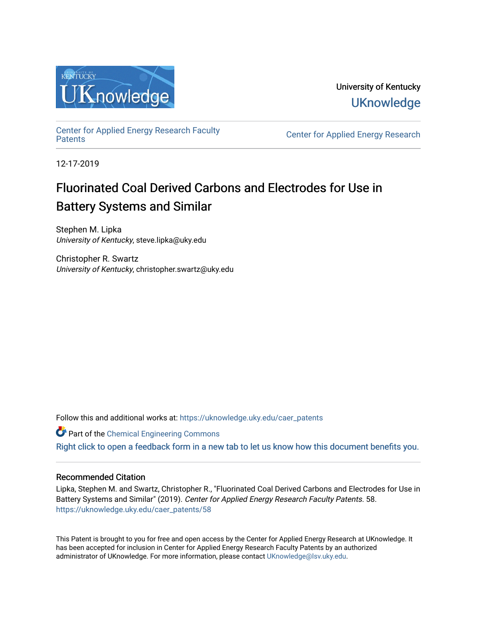

University of Kentucky **UKnowledge** 

[Center for Applied Energy Research Faculty](https://uknowledge.uky.edu/caer_patents)

Center for Applied Energy Research

12-17-2019

# Fluorinated Coal Derived Carbons and Electrodes for Use in Battery Systems and Similar

Stephen M. Lipka University of Kentucky, steve.lipka@uky.edu

Christopher R. Swartz University of Kentucky, christopher.swartz@uky.edu

Follow this and additional works at: [https://uknowledge.uky.edu/caer\\_patents](https://uknowledge.uky.edu/caer_patents?utm_source=uknowledge.uky.edu%2Fcaer_patents%2F58&utm_medium=PDF&utm_campaign=PDFCoverPages) 

Part of the [Chemical Engineering Commons](http://network.bepress.com/hgg/discipline/240?utm_source=uknowledge.uky.edu%2Fcaer_patents%2F58&utm_medium=PDF&utm_campaign=PDFCoverPages)

[Right click to open a feedback form in a new tab to let us know how this document benefits you.](https://uky.az1.qualtrics.com/jfe/form/SV_9mq8fx2GnONRfz7)

### Recommended Citation

Lipka, Stephen M. and Swartz, Christopher R., "Fluorinated Coal Derived Carbons and Electrodes for Use in Battery Systems and Similar" (2019). Center for Applied Energy Research Faculty Patents. 58. [https://uknowledge.uky.edu/caer\\_patents/58](https://uknowledge.uky.edu/caer_patents/58?utm_source=uknowledge.uky.edu%2Fcaer_patents%2F58&utm_medium=PDF&utm_campaign=PDFCoverPages)

This Patent is brought to you for free and open access by the Center for Applied Energy Research at UKnowledge. It has been accepted for inclusion in Center for Applied Energy Research Faculty Patents by an authorized administrator of UKnowledge. For more information, please contact [UKnowledge@lsv.uky.edu](mailto:UKnowledge@lsv.uky.edu).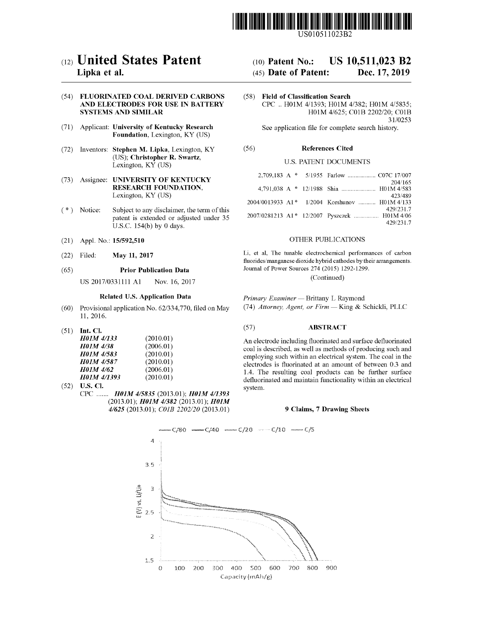

US010511023B2

### c12) **United States Patent**

#### **Lipka et al.**

#### (54) **FLUORINATED COAL DERIVED CARBONS AND ELECTRODES FOR USE IN BATTERY SYSTEMS AND SIMILAR**

- (71) Applicant: **University of Kentucky Research Foundation,** Lexington, KY (US)
- (72) Inventors: **Stephen M. Lipka,** Lexington, KY (US); **Christopher R. Swartz,**  Lexington, KY (US)
- (73) Assignee: **UNIVERSITY OF KENTUCKY RESEARCH FOUNDATION,**  Lexington, KY (US)
- $(*)$  Notice: Subject to any disclaimer, the term of this patent is extended or adjusted under 35 U.S.C. 154(b) by 0 days.
- (21) Appl. No.: **15/592,510**
- (22) Filed: **May 11, 2017**

#### (65) **Prior Publication Data**

US 2017/0331111 Al Nov. 16, 2017

#### **Related U.S. Application Data**

- (60) Provisional application No. 62/334,770, filed on May 11, 2016.
- (51) **Int. Cl.**

| <b>H01M 4/133</b> | (2010.01) |
|-------------------|-----------|
| <b>H01M 4/38</b>  | (2006.01) |
| H01M 4/583        | (2010.01) |
| <b>H01M 4/587</b> | (2010.01) |
| H01M 4/62         | (2006.01) |
| H01M 4/1393       | (2010.01) |
|                   |           |

(52) **U.S. Cl.**  CPC ....... *HOJM 415835* (2013.01); *HOJM 411393*  (2013.01); *HOJM 41382* (2013.01); *HOJM 41625* (2013.01); *COJB 2202/20* (2013.01)

### (IO) **Patent No.: US 10,511,023 B2**

#### (45) **Date of Patent: Dec. 17, 2019**

(58) **Field of Classification Search**  CPC .. H0lM 4/1393; H0lM 4/382; H01M 4/5835; H0lM 4/625; C0lB 2202/20; C0lB 31/0253

See application file for complete search history.

#### (56) **References Cited**

#### U.S. PATENT DOCUMENTS

|  | 204/165                                                   |
|--|-----------------------------------------------------------|
|  | 423/489                                                   |
|  | 2004/0013933 A1* 1/2004 Korshunov  H01M 4/133             |
|  | 429/231.7<br>2007/0281213 A1* 12/2007 Pyszczek  H01M 4/06 |
|  | 429/231.7                                                 |

#### OTHER PUBLICATIONS

Li, et al, The tunable electrochemical performances of carbon fluorides/manganese dioxide hybrid cathodes by their arrangements. Journal of Power Sources 274 (2015) 1292-1299.

(Continued)

*Primary Examiner* - Brittany L Raymond (74) *Attorney, Agent, or Firm* - King & Schickli, PLLC

#### (57) **ABSTRACT**

An electrode including fluorinated and surface defluorinated coal is described, as well as methods of producing such and employing such within an electrical system. The coal in the electrodes is fluorinated at an amount of between 0.3 and 1 .4. The resulting coal products can be further surface defluorinated and maintain functionality within an electrical system.

#### **9 Claims, 7 Drawing Sheets**

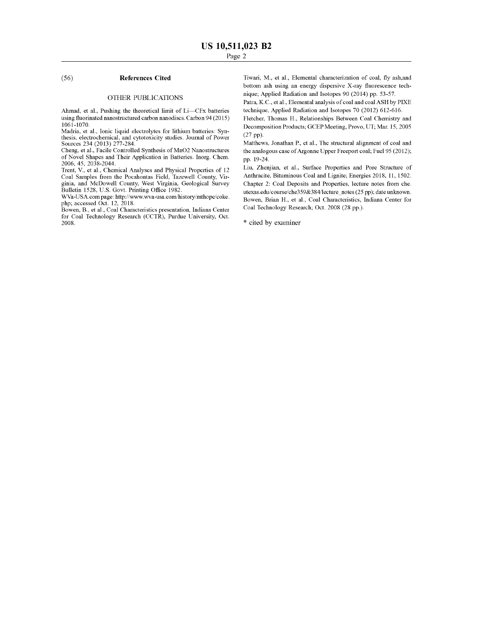#### (56) **References Cited**

#### OTHER PUBLICATIONS

Ahmad, et al., Pushing the theoretical limit of Li-CFx batteries using fluorinated nanostructured carbon nanodiscs. Carbon 94(2015) 1061-1070.

Madria, et al., Ionic liquid electrolytes for lithium batteries: Synthesis, electrochemical, and cytotoxicity studies. Journal of Power Sources 234 (2013) 277-284.

Cheng, et al., Facile Controlled Synthesis of MnO2 Nanostructures of Novel Shapes and Their Application in Batteries. Inorg. Chem. 2006, 45, 2038-2044.

Trent, V., et al., Chemical Analyses and Physical Properties of 12 Coal Samples from the Pocahontas Field, Tazewell County, Virginia, and McDowell County, West Virginia, Geological Survey Bulletin 1528, U.S. Govt. Printing Office 1982.

WV.a-USA.com page: http://www.wva-usa.com/history/mthope/coke. php; accessed Oct. 12, 2018.

Bowen, B., et al., Coal Characteristics presentation, Indiana Center for Coal Technology Research (CCTR), Purdue University, Oct. 2008.

Tiwari, M., et al., Elemental characterization of coal, fly ash,and bottom ash using an energy dispersive X-ray fluorescence technique; Applied Radiation and Isotopes 90 (2014) pp. 53-57.

Patra, K.C., et al., Elemental analysis of coal and coal ASH by PIXE technique, Applied Radiation and Isotopes 70 (2012) 612-616.

Fletcher, Thomas H., Relationships Between Coal Chemistry and Decomposition Products; GCEP Meeting, Provo, UT; Mar. 15, 2005 (27 pp).

Matthews, Jonathan P., et al., The structural alignment of coal and the analogous case of Argonne Upper Freeport coal; Fuel 95 (2012); pp. 19-24.

Liu, Zhenjian, et al., Surface Properties and Pore Structure of Anthracite, Bituminous Coal and Lignite; Energies 2018, 11, 1502. Chapter 2: Coal Deposits and Properties, lecture notes from che. utexas.edu/course/che359&384/lecture\_notes (25 pp); date unknown. Bowen, Brian H., et al., Coal Characteristics, Indiana Center for Coal Technology Research; Oct. 2008 (28 pp.).

\* cited by examiner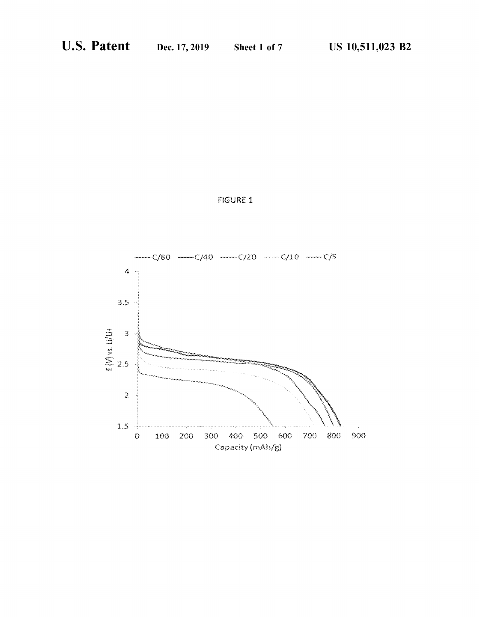

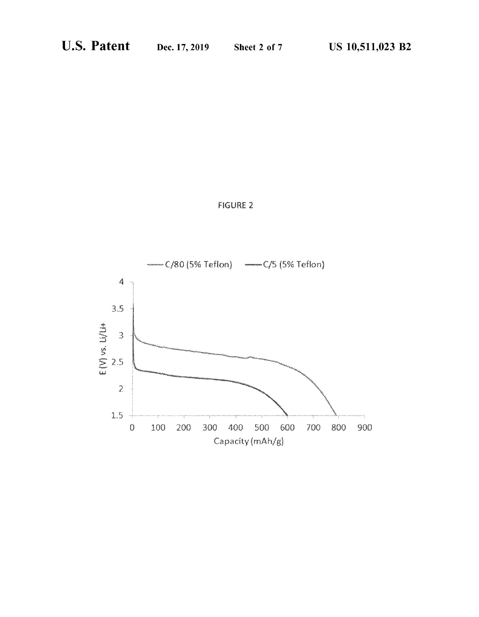

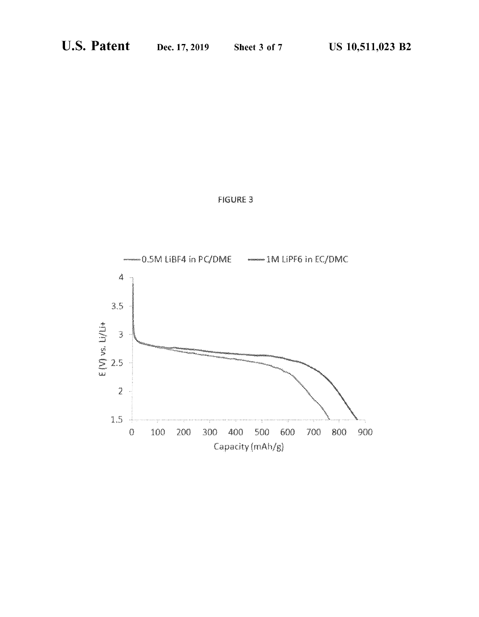

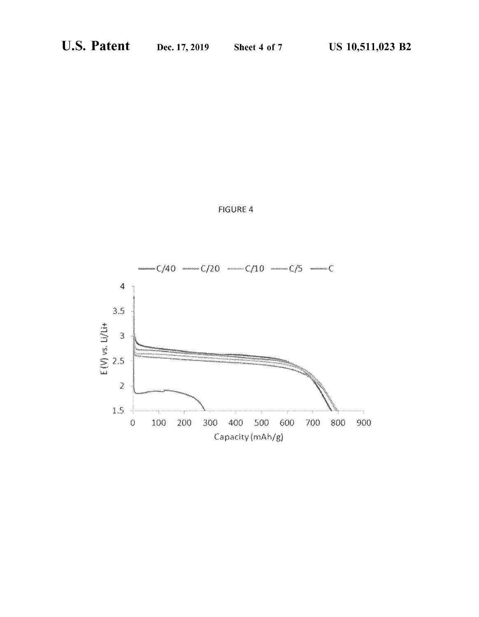

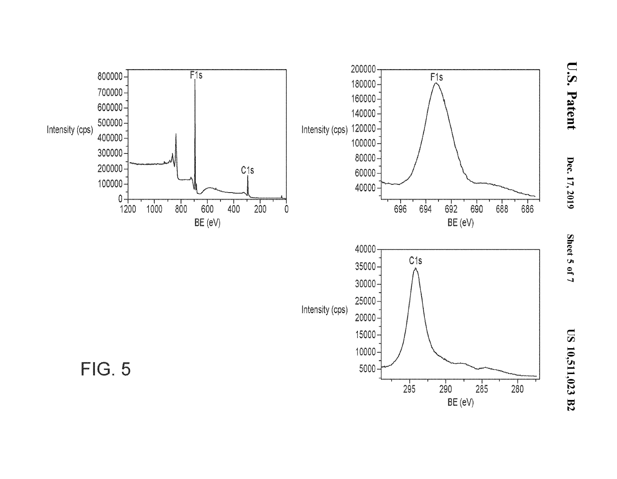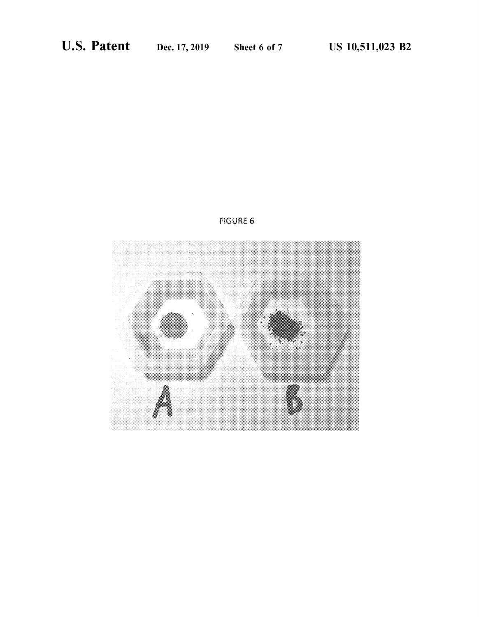

## FIGURE 6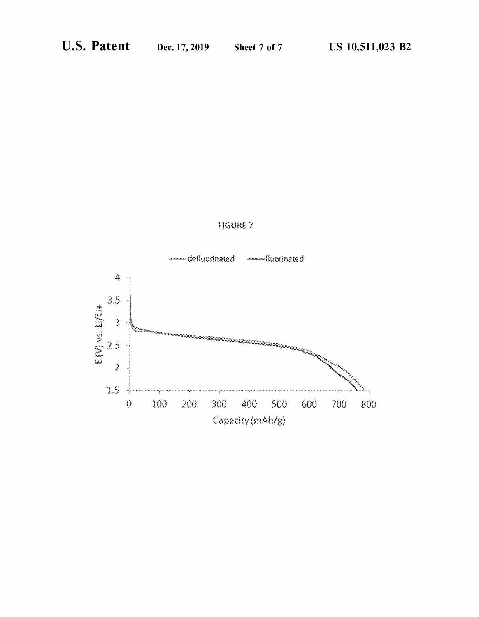

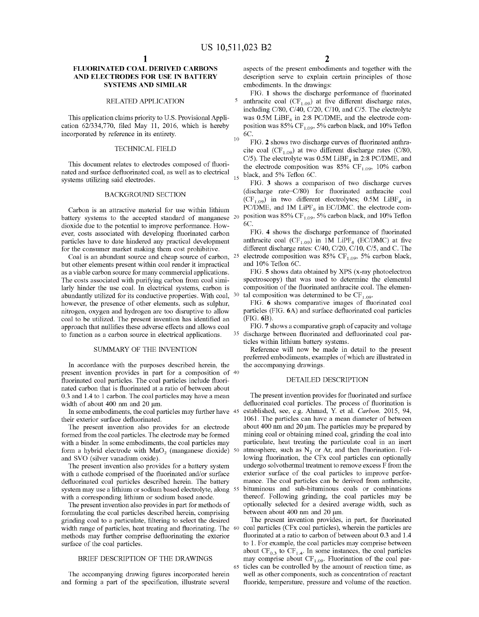#### **FLUORINATED COAL DERIVED CARBONS AND ELECTRODES FOR USE IN BATTERY SYSTEMS AND SIMILAR**

#### RELATED APPLICATION

This application claims priority to U.S. Provisional Application 62/334,770, filed May 11, 2016, which is hereby incorporated by reference in its entirety.

#### TECHNICAL FIELD

This document relates to electrodes composed of fluorinated and surface defluorinated coal, as well as to electrical systems utilizing said electrodes.

#### BACKGROUND SECTION

Carbon is an attractive material for use within lithium battery systems to the accepted standard of manganese <sup>20</sup> dioxide due to the potential to improve performance. However, costs associated with developing fluorinated carbon particles have to date hindered any practical development for the consumer market making them cost prohibitive.

Coal is an abundant source and cheap source of carbon, 25 but other elements present within coal render it impractical as a viable carbon source for many commercial applications. The costs associated with purifying carbon from coal similarly hinder the use coal. In electrical systems, carbon is abundantly utilized for its conductive properties. With coal, 30 however, the presence of other elements, such as sulphur, nitrogen, oxygen and hydrogen are too disruptive to allow coal to be utilized. The present invention has identified an approach that nullifies these adverse effects and allows coal FIG. **7** shows a comparative graph of capacity and voltage to function as a carbon source in electrical applications.

#### SUMMARY OF THE INVENTION

In accordance with the purposes described herein, the present invention provides in part for a composition of 40 fluorinated coal particles. The coal particles include fluorinated carbon that is fluorinated at a ratio of between about 0.3 and 1.4 to 1 carbon. The coal particles may have a mean width of about 400 nm and 20 µm.

In some embodiments, the coal particles may further have 45 their exterior surface defluorinated.

The present invention also provides for an electrode formed from the coal particles. The electrode may be formed with a binder. In some embodiments, the coal particles may form a hybrid electrode with  $MnO<sub>2</sub>$  (manganese dioxide)  $50$ and SVO (silver vanadium oxide).

The present invention also provides for a battery system with a cathode comprised of the fluorinated and/or surface defluorinated coal particles described herein. The battery system may use a lithium or sodium based electrolyte, along with a corresponding lithium or sodium based anode.

The present invention also provides in part for methods of formulating the coal particles described herein, comprising grinding coal to a particulate, filtering to select the desired width range of particles, heat treating and fluorinating. The 60 methods may further comprise defluorinating the exterior surface of the coal particles.

#### BRIEF DESCRIPTION OF THE DRAWINGS

The accompanying drawing figures incorporated herein and forming a part of the specification, illustrate several aspects of the present embodiments and together with the description serve to explain certain principles of those embodiments. In the drawings:

FIG. 1 shows the discharge performance of fluorinated 5 anthracite coal  $(CF<sub>1.09</sub>)$  at five different discharge rates, including C/80, C/40, C/20, C/10, and C/5. The electrolyte was  $0.5M$  LiBF<sub>4</sub> in 2:8 PC/DME, and the electrode composition was  $85\%$  CF<sub>1.09</sub>, 5% carbon black, and 10% Teflon  $10\frac{6C}{t}$ 

FIG. **2** shows two discharge curves of fluorinated anthracite coal (CF<sub>1.09</sub>) at two different discharge rates (C/80, C/5). The electrolyte was  $0.5M$  LiBF<sub>4</sub> in 2:8 PC/DME, and the electrode composition was 85%  $CF<sub>1.09</sub>$ , 10% carbon black, and 5% Teflon 6C.

FIG. **3** shows a comparison of two discharge curves (discharge rate=C/80) for fluorinated anthracite coal  $(CF_{1.09})$  in two different electrolytes; 0.5M LiBF<sub>4</sub> in PC/DME, and 1M LiPF $_6$  in EC/DMC. the electrode composition was 85%  $CF<sub>1.09</sub>$ , 5% carbon black, and 10% Teflon 6C.

FIG. **4** shows the discharge performance of fluorinated anthracite coal (CF<sub>1.09</sub>) in 1M LiPF<sub>6</sub> (EC/DMC) at five different discharge rates: C/40, C/20, C/10, C/5, and C. The electrode composition was 85% CF<sub>1.09</sub>, 5% carbon black, and 10% Teflon 6C.

FIG. **5** shows data obtained by XPS (x-ray photoelectron spectroscopy) that was used to determine the elemental composition of the fluorinated anthracite coal. The elemental composition was determined to be  $CF<sub>1.09</sub>$ .

FIG. **6** shows comparative images of fluorinated coal particles (FIG. **6A)** and surface defluorinated coal particles (FIG. **6B).** 

discharge between fluorinated and defluorinated coal particles within lithium battery systems.

Reference will now be made in detail to the present preferred embodiments, examples of which are illustrated in the accompanying drawings.

#### DETAILED DESCRIPTION

The present invention provides for fluorinated and surface defluorinated coal particles. The process of fluorination is established, see, e.g. Ahmad, Y. et al. *Carbon.* 2015, 94, 1061. The particles can have a mean diameter of between about 400 nm and 20 um. The particles may be prepared by mining coal or obtaining mined coal, grinding the coal into particulate, heat treating the particulate coal in an inert atmosphere, such as  $N_2$  or Ar, and then fluorination. Following fluorination, the CFx coal particles can optionally undergo solvothermal treatment to remove excess F from the exterior surface of the coal particles to improve performance. The coal particles can be derived from anthracite, 55 bituminous and sub-bituminous coals or combinations thereof. Following grinding, the coal particles may be optionally selected for a desired average width, such as between about 400 nm and 20 µm.

The present invention provides, in part, for fluorinated coal particles (CFx coal particles), wherein the particles are fluorinated at a ratio to carbon of between about 0.3 and 1.4 to 1. For example, the coal particles may comprise between about  $CF_{0.3}$  to  $CF_{1.4}$ . In some instances, the coal particles may comprise about  $CF<sub>1.09</sub>$ . Fluorination of the coal par-65 ticles can be controlled by the amount of reaction time, as well as other components, such as concentration of reactant fluoride, temperature, pressure and volume of the reaction.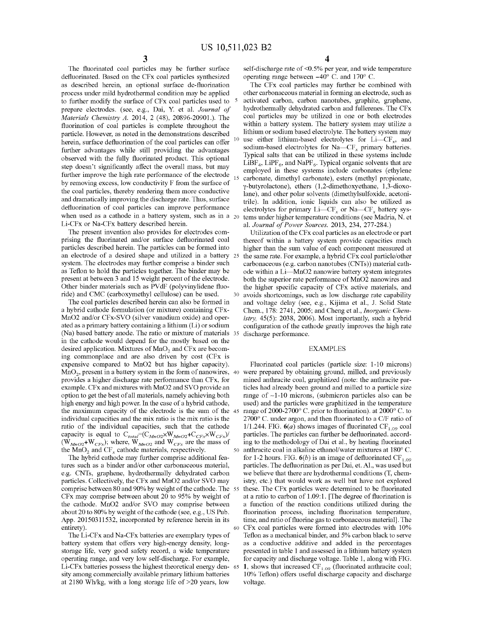The fluorinated coal particles may be further surface defluorinated. Based on the CFx coal particles synthesized as described herein, an optional surface de-fluorination process under mild hydrothermal condition may be applied to further modify the surface of CFx coal particles used to prepare electrodes. (see, e.g., Dai, Y. et al. *Journal of Materials Chemistry A.* 2014, 2 ( 48), 20896-20901.). The fluorination of coal particles is complete throughout the particle. However, as noted in the demonstrations described herein, surface defluorination of the coal particles can offer further advantages while still providing the advantages observed with the fully fluorinated product. This optional step doesn't significantly affect the overall mass, but may further improve the high rate performance of the electrode by removing excess, low conductivity F from the surface of the coal particles, thereby rendering them more conductive and dramatically improving the discharge rate. Thus, surface defluorination of coal particles can improve performance when used as a cathode in a battery system, such as in a  $_{20}$ Li-CFx or Na-CFx battery described herein.

The present invention also provides for electrodes comprising the fluorinated and/or surface defluorinated coal particles described herein. The particles can be formed into an electrode of a desired shape and utilized in a battery system. The electrodes may further comprise a binder such as Teflon to hold the particles together. The binder may be present at between 3 and 15 weight percent of the electrode. Other binder materials such as PVdF (polyvinylidene fluoride) and CMC (carboxymethyl cellulose) can be used.

The coal particles described herein can also be formed in a hybrid cathode formulation (or mixture) containing CFx-MnO2 and/or CFx-SVO (silver vanadium oxide) and operated as a primary battery containing a lithium (Li) or sodium (Na) based battery anode. The ratio or mixture of materials in the cathode would depend for the mostly based on the desired application. Mixtures of  $MnO<sub>2</sub>$  and CFx are becoming commonplace and are also driven by cost (CFx is expensive compared to MnO2 but has higher capacity). provides a higher discharge rate performance than CFx, for example. CFx and mixtures with MnO2 and SVO provide an option to get the best of all materials, namely achieving both high energy and high power. In the case of a hybrid cathode, the maximum capacity of the electrode is the sum of the 45 individual capacities and the mix ratio is the mix ratio is the ratio of the individual capacities, such that the cathode capacity is equal to  $C_{total}=(C_{MnO2} \times W_{MnO2} + C_{CFX} \times W_{CFX})/$  $(W_{MnO2} + W_{CFx})$ ; where,  $W_{MnO2}$  and  $W_{CFx}$  are the mass of

The hybrid cathode may further comprise additional features such as a binder and/or other carbonaceous material, e.g. CNTs, graphene, hydrothermally dehydrated carbon particles. Collectively, the CFx and MnO2 and/or SVO may comprise between 80 and 90% by weight of the cathode. The 55 CFx may comprise between about 20 to 95% by weight of the cathode. MnO2 and/or SVO may comprise between about 20 to 80% by weight of the cathode (see, e.g., US Pub. App. 20150311532, incorporated by reference herein in its entirety).

The Li-CFx and Na-CFx batteries are exemplary types of battery system that offers very high-energy density, longstorage life, very good safety record, a wide temperature operating range, and very low self-discharge. For example, Li-CFx batteries possess the highest theoretical energy den- 65 sity among commercially available primary lithium batteries at 2180 Wh/kg, with a long storage life of >20 years, low

self-discharge rate of <0.5% per year, and wide temperature operating range between  $-40^{\circ}$  C. and 170° C.

The CFx coal particles may further be combined with other carbonaceous material in forming an electrode, such as activated carbon, carbon nanotubes, graphite, graphene, hydrothermally dehydrated carbon and fullerenes. The CFx coal particles may be utilized in one or both electrodes within a battery system. The battery system may utilize a lithium or sodium based electrolyte. The battery system may use either lithium-based electrolytes for  $Li-CF_x$ , and sodium-based electrolytes for Na- $CF<sub>x</sub>$  primary batteries. Typical salts that can be utilized in these systems include  $LIBF_4$ ,  $LIPF_6$ , and NaPF<sub>6</sub>. Typical organic solvents that are employed in these systems include carbonates (ethylene carbonate, dimethyl carbonate), esters (methyl propionate, y-butyrolactone ), ethers (1,2-dimethoxyethane, 1,3-dioxolane), and other polar solvents (dimethylsulfoxide, acetonitrile). In addition, ionic liquids can also be utilized as electrolytes for primary  $Li-CF_x$  or  $Na-CF_x$  battery systems under higher temperature conditions (see Madria, N. et al. *Journal of Power Sources.* 2013, 234, 277-284.)

Utilization of the CFx coal particles as an electrode or part thereof within a battery system provide capacities much higher than the sum value of each component measured at 25 the same rate. For example, a hybrid CFx coal particle/other carbonaceous (e.g. carbon nanotubes (CNTs)) material cathode within a Li-MnO2 nanowire battery system integrates both the superior rate performance of MnO2 nanowires and the higher specific capacity of CFx active materials, and avoids shortcomings, such as low discharge rate capability and voltage delay (see, e.g., Kijima et al., J. Solid State Chem., 178: 2741, 2005; and Cheng et al., *Inorganic Chemistry,* 45(5): 2038, 2006). Most importantly, such a hybrid configuration of the cathode greatly improves the high rate discharge performance.

#### EXAMPLES

Fluorinated coal particles (particle size: 1-10 microns) MnO<sub>2</sub>, present in a battery system in the form of nanowires, 40 were prepared by obtaining ground, milled, and previously mined anthracite coal, graphitized (note: the anthracite particles had already been ground and milled to a particle size range of  $\sim$ 1-10 microns, (submicron particles also can be used) and the particles were graphitized in the temperature range of 2000-2700° C. prior to fluorination). at 2000° C. to 2700° C. under argon, and then fluorinated to a C/F ratio of 1/1.244. FIG.  $6(a)$  shows images of fluorinated CF<sub>1.09</sub> coal particles. The particles can further be defluorinated. according to the methodology of Dai et al., by heating fluorinated the MnO<sub>2</sub> and CF<sub>x</sub> cathode materials, respectively.  $\qquad 50$  anthracite coal in alkaline ethanol/water mixtures at 180° C. for 1-2 hours. FIG.  $6(b)$  is an image of defluorinated CF<sub>1.09</sub> particles. The defluorination as per Dai, et. Al., was used but we believe that there are hydrothermal conditions (T, chemistry, etc.) that would work as well but have not explored these. The CFx particles were determined to be fluorinated at a ratio to carbon of 1.09:1. [The degree of fluorination is a function of the reaction conditions utilized during the fluorination process, including fluorination temperature, time, and ratio of fluorine gas to carbonaceous material]. The 60 CFx coal particles were formed into electrodes with 10% Teflon as a mechanical binder, and 5% carbon black to serve as a conductive additive and added in the percentages presented in table 1 and assessed in a lithium battery system for capacity and discharge voltage. Table 1, along with FIG. **1**, shows that increased  $CF<sub>1.09</sub>$  (fluorinated anthracite coal; 10% Teflon) offers useful discharge capacity and discharge voltage.